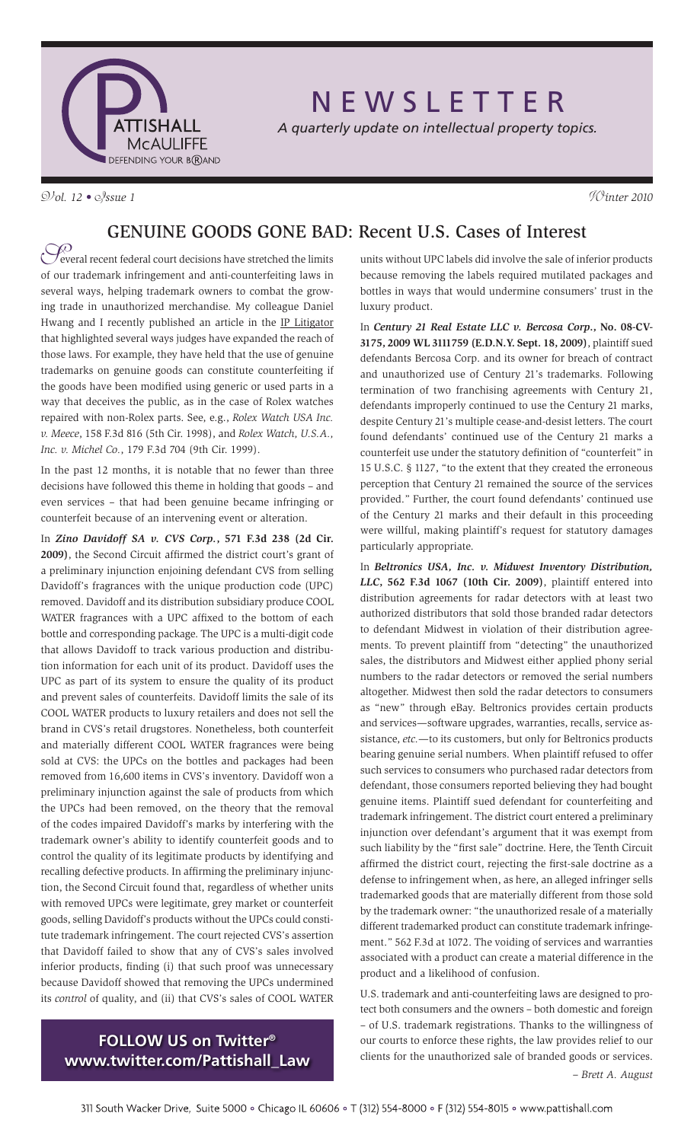

# N E W S L E T T E R

*A quarterly update on intellectual property topics.*

V*ol. 12 •* I*ssue 1* W*inter 2010*

### GENUINE GOODS GONE BAD: Recent U.S. Cases of Interest

Several recent federal court decisions have stretched the limits<br>of our trademark infringement and anti-counterfeiting laws in everal recent federal court decisions have stretched the limits several ways, helping trademark owners to combat the growing trade in unauthorized merchandise. My colleague Daniel Hwang and I recently published an article in the IP Litigator that highlighted several ways judges have expanded the reach of those laws. For example, they have held that the use of genuine trademarks on genuine goods can constitute counterfeiting if the goods have been modified using generic or used parts in a way that deceives the public, as in the case of Rolex watches repaired with non-Rolex parts. See, e.g., *Rolex Watch USA Inc. v. Meece*, 158 F.3d 816 (5th Cir. 1998), and *Rolex Watch, U.S.A., Inc. v. Michel Co.*, 179 F.3d 704 (9th Cir. 1999).

In the past 12 months, it is notable that no fewer than three decisions have followed this theme in holding that goods – and even services – that had been genuine became infringing or counterfeit because of an intervening event or alteration.

In *Zino Davidoff SA v. CVS Corp.***, 571 F.3d 238 (2d Cir. 2009)**, the Second Circuit affirmed the district court's grant of a preliminary injunction enjoining defendant CVS from selling Davidoff's fragrances with the unique production code (UPC) removed. Davidoff and its distribution subsidiary produce COOL WATER fragrances with a UPC affixed to the bottom of each bottle and corresponding package. The UPC is a multi-digit code that allows Davidoff to track various production and distribution information for each unit of its product. Davidoff uses the UPC as part of its system to ensure the quality of its product and prevent sales of counterfeits. Davidoff limits the sale of its COOL WATER products to luxury retailers and does not sell the brand in CVS's retail drugstores. Nonetheless, both counterfeit and materially different COOL WATER fragrances were being sold at CVS: the UPCs on the bottles and packages had been removed from 16,600 items in CVS's inventory. Davidoff won a preliminary injunction against the sale of products from which the UPCs had been removed, on the theory that the removal of the codes impaired Davidoff's marks by interfering with the trademark owner's ability to identify counterfeit goods and to control the quality of its legitimate products by identifying and recalling defective products. In affirming the preliminary injunction, the Second Circuit found that, regardless of whether units with removed UPCs were legitimate, grey market or counterfeit goods, selling Davidoff's products without the UPCs could constitute trademark infringement. The court rejected CVS's assertion that Davidoff failed to show that any of CVS's sales involved inferior products, finding (i) that such proof was unnecessary because Davidoff showed that removing the UPCs undermined its *control* of quality, and (ii) that CVS's sales of COOL WATER

## **FOLLOW US on Twitter® www.twitter.com/Pattishall\_Law**

units without UPC labels did involve the sale of inferior products because removing the labels required mutilated packages and bottles in ways that would undermine consumers' trust in the luxury product.

In *Century 21 Real Estate LLC v. Bercosa Corp***., No. 08-CV-3175, 2009 WL 3111759 (E.D.N.Y. Sept. 18, 2009)**, plaintiff sued defendants Bercosa Corp. and its owner for breach of contract and unauthorized use of Century 21's trademarks. Following termination of two franchising agreements with Century 21, defendants improperly continued to use the Century 21 marks, despite Century 21's multiple cease-and-desist letters. The court found defendants' continued use of the Century 21 marks a counterfeit use under the statutory definition of "counterfeit" in 15 U.S.C. § 1127, "to the extent that they created the erroneous perception that Century 21 remained the source of the services provided." Further, the court found defendants' continued use of the Century 21 marks and their default in this proceeding were willful, making plaintiff's request for statutory damages particularly appropriate.

In *Beltronics USA, Inc. v. Midwest Inventory Distribution, LLC***, 562 F.3d 1067 (10th Cir. 2009)**, plaintiff entered into distribution agreements for radar detectors with at least two authorized distributors that sold those branded radar detectors to defendant Midwest in violation of their distribution agreements. To prevent plaintiff from "detecting" the unauthorized sales, the distributors and Midwest either applied phony serial numbers to the radar detectors or removed the serial numbers altogether. Midwest then sold the radar detectors to consumers as "new" through eBay. Beltronics provides certain products and services—software upgrades, warranties, recalls, service assistance, *etc.*—to its customers, but only for Beltronics products bearing genuine serial numbers. When plaintiff refused to offer such services to consumers who purchased radar detectors from defendant, those consumers reported believing they had bought genuine items. Plaintiff sued defendant for counterfeiting and trademark infringement. The district court entered a preliminary injunction over defendant's argument that it was exempt from such liability by the "first sale" doctrine. Here, the Tenth Circuit affirmed the district court, rejecting the first-sale doctrine as a defense to infringement when, as here, an alleged infringer sells trademarked goods that are materially different from those sold by the trademark owner: "the unauthorized resale of a materially different trademarked product can constitute trademark infringement." 562 F.3d at 1072. The voiding of services and warranties associated with a product can create a material difference in the product and a likelihood of confusion.

U.S. trademark and anti-counterfeiting laws are designed to protect both consumers and the owners – both domestic and foreign – of U.S. trademark registrations. Thanks to the willingness of our courts to enforce these rights, the law provides relief to our clients for the unauthorized sale of branded goods or services.  *– Brett A. August*